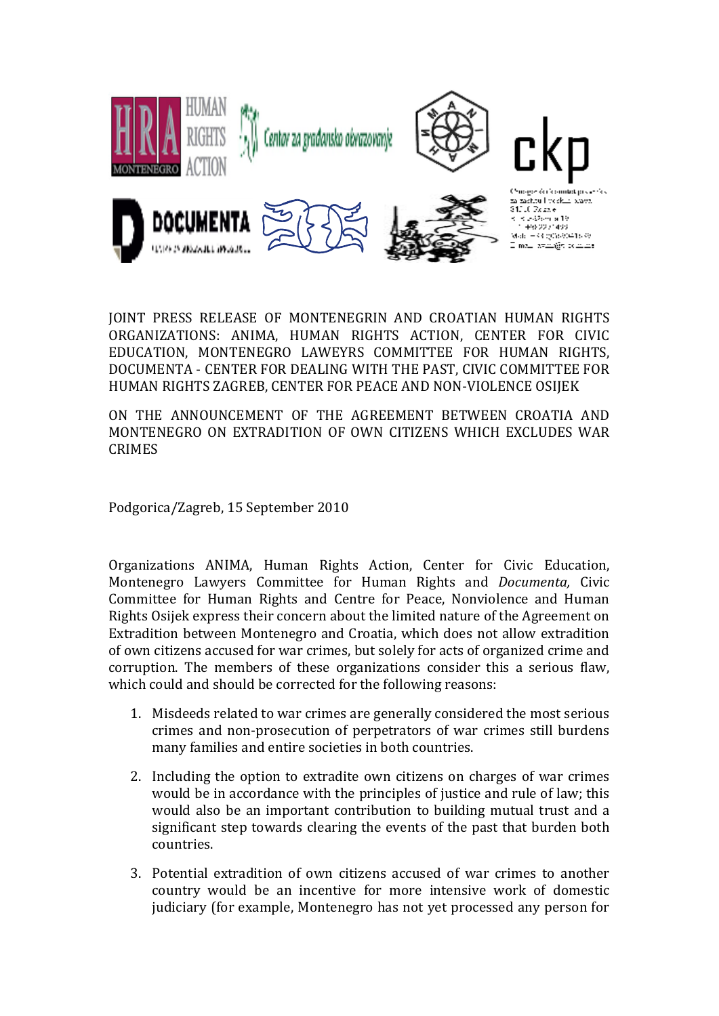

JOINT PRESS RELEASE OF MONTENEGRIN AND CROATIAN HUMAN RIGHTS ORGANIZATIONS: ANIMA, HUMAN RIGHTS ACTION, CENTER FOR CIVIC EDUCATION, MONTENEGRO LAWEYRS COMMITTEE FOR HUMAN RIGHTS, DOCUMENTA - CENTER FOR DEALING WITH THE PAST, CIVIC COMMITTEE FOR HUMAN RIGHTS ZAGREB, CENTER FOR PEACE AND NON-VIOLENCE OSIJEK

ON THE ANNOUNCEMENT OF THE AGREEMENT BETWEEN CROATIA AND MONTENEGRO ON EXTRADITION OF OWN CITIZENS WHICH EXCLUDES WAR CRIMES

Podgorica/Zagreb, 15 September 2010

Organizations ANIMA, Human Rights Action, Center for Civic Education, Montenegro Lawyers Committee for Human Rights and *Documenta,* Civic Committee for Human Rights and Centre for Peace, Nonviolence and Human Rights Osijek express their concern about the limited nature of the Agreement on Extradition between Montenegro and Croatia, which does not allow extradition of own citizens accused for war crimes, but solely for acts of organized crime and corruption. The members of these organizations consider this a serious flaw, which could and should be corrected for the following reasons:

- 1. Misdeeds related to war crimes are generally considered the most serious crimes and non-prosecution of perpetrators of war crimes still burdens many families and entire societies in both countries.
- 2. Including the option to extradite own citizens on charges of war crimes would be in accordance with the principles of justice and rule of law; this would also be an important contribution to building mutual trust and a significant step towards clearing the events of the past that burden both countries.
- 3. Potential extradition of own citizens accused of war crimes to another country would be an incentive for more intensive work of domestic judiciary (for example, Montenegro has not yet processed any person for